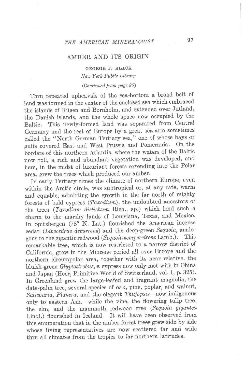## AMBER AND ITS ORIGIN

## GEORGE F. BLACK New York Public Library

## (Continued, from page 85)

Thru repeated upheavals of the sea-bottom a broad belt of land was formed in the center of the enclosed sea which embraced the islands of Riigen and Bornholm, and extended over Jutland, the Danish islands, and the whole space now occupied by the Baltic. This newly-formed land was separated from Central Germany and the rest of Europe by a great sea-arm sometimes called the "North German Tertiary sea," one of whose bays or<br>gulfs covered East and West Prussia and Pomerania. On the gulfs covered East and West Prussia and Pomerania. borders of this northern Atlantis, where the waters of the Baltic now roll, a rich and abundant vegetation was developed, and here, in the midst of luxuriant forests extending into the Polar area, grew the trees which produced our amber.

In early Tertiary times the climate of northern Europe, even within the Arctic circle, was subtropical or, at any tate, warm and equable, admitting the growth in the far north of mighty forests of bald cypress  $(Taxodium)$ , the undoubted ancestors of the trees (Taxodium distichum Rich., sp.) which lend such a charm to the marshy lands of Louisiana, Texas, and Mexico. In Spitzbergen (78' N. Lat.) flourished the American incense cedar (Libocedrus decurrens) and the deep-green Sequoia, analo-<br>gous to the gigantic redwood (Sequoia semperwirens Lamb.). This gous to the gigantic redwood (Sequoia sempervirens Lamb.). remarkable tree, which is now restricted to a narrow district of California, grew in the Miocene period all over Europe and the northern circumpolar area, together with its near relative, the bluish-green Glyptostrobus, a cypress now only met with in China and Japan (Heer, Primitive World of Switzerland, vol. 1, p. 325). In Greenland grew the large-Ieafed and fragrant magnolia, the date-palm tree, several species of oak, pine, poplar, and walnut, Salisburia, Planera, and the elegant Thujopsis-now indigenous only to eastern Asia-while the vine, the flowering tulip tree, the elm, and the mammoth redwood tree (Sequoia gigantea Lindl.) flourished in lceland. It will have been observed from this enumeration that in the amber forest trees grew side by side whose living representatives are now scattered far and wide thru all climates from the tropics to far northern latitudes.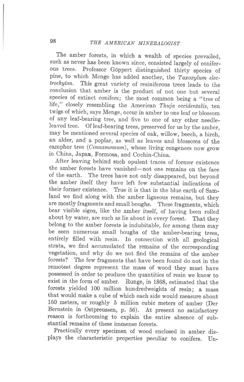The amber forests, in which a wealth of species prevailed, such as never has been known since, consisted largely of conifer-<br>ous trees. Professor Gönnert distinguished thirty species of Professor Göppert distinguished thirty species of pine, to which Menge has added another, the  $Taxoxylum$  electrochyton. This great variety of resiniferous trees leads to the conclusion that amber is the product of not one but several species of extinct conifers; the most common being a "tree of life," closely resembling the American Thuja occidentalis, ten twigs of which, says Menge, occur in amber to one leaf or blossom of any leaf-bearing tree, and five to one of any other needleleaved tree. Of leaf-bearing trees, preserved for us by the amber, may be mentioned several species of oak, willow, beech, a birch, an alder, and a poplar, as well as leaves and blossoms of the camphor tree (Cinnamomum), whose living congeners now grow in China, Japan, Formosa, and Cochin-China.

After leaving behind such opulent traces of former existence the amber forests have vanished—not one remains on the face<br>of the earth. The trees have not only disappeared but beyond The trees have not only disappeared, but beyond the amber itself they have left few substantial indications of their former existence. True it is that in the blue earth of Samland we find along with the amber ligneous remains, but they are mostly fragments and small boughs. These fragments, which bear visible signg, like the amber itself, of having been rolled about by water, are such as lie about in every forest. That they belong to the amber forests is indubitable, for among them may be seen numerous small boughs of the amber-bearing trees, entirely filled with resin. In connection with all geological strata, we find accumulated the remains of the corresponding vegetation, and why do we not find the remains of the amber forests? The few fragments that have been found do not in the remotest degree represent the mass of wood they must have possessed in order to produce the quantities of resin we know to exist in the form of amber. Runge, in 1868, estimated that the forests yielded 100 million hundredweights of resin; a mass that would make a cube of which each side would measure about 160 meters, or roughly 5 million cubic meters of amber (Der Bernstein in Ostpreussen, p. 56). At present no satisfactory reason is forthcoming to explain the entire absence of substantial remains of these immense forests.

Practically every specimen of wood enclosed in amber displays the characteristic properties peculiar to conifers. Un